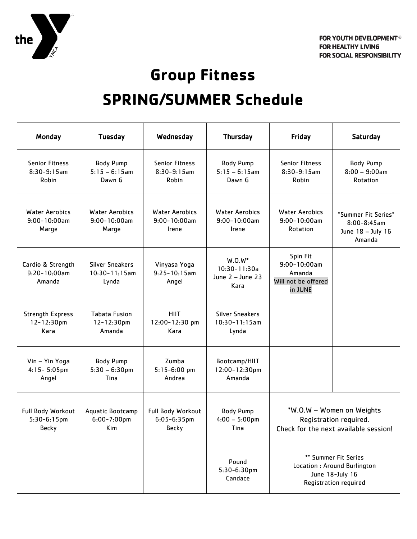

## **Group Fitness**

## **SPRING/SUMMER Schedule**

| Monday                                              | <b>Tuesday</b>                                       | Wednesday                                             | <b>Thursday</b>                                             | Friday                                                                                           | Saturday                                                               |
|-----------------------------------------------------|------------------------------------------------------|-------------------------------------------------------|-------------------------------------------------------------|--------------------------------------------------------------------------------------------------|------------------------------------------------------------------------|
| <b>Senior Fitness</b><br>$8:30-9:15am$<br>Robin     | <b>Body Pump</b><br>$5:15 - 6:15$ am<br>Dawn G       | <b>Senior Fitness</b><br>$8:30-9:15am$<br>Robin       | <b>Body Pump</b><br>$5:15 - 6:15$ am<br>Dawn G              | <b>Senior Fitness</b><br>$8:30-9:15am$<br>Robin                                                  | <b>Body Pump</b><br>$8:00 - 9:00$ am<br>Rotation                       |
| <b>Water Aerobics</b><br>$9:00 - 10:00$ am<br>Marge | <b>Water Aerobics</b><br>$9:00 - 10:00$ am<br>Marge  | <b>Water Aerobics</b><br>$9:00 - 10:00$ am<br>Irene   | <b>Water Aerobics</b><br>$9:00 - 10:00am$<br>Irene          | <b>Water Aerobics</b><br>$9:00 - 10:00$ am<br>Rotation                                           | *Summer Fit Series*<br>$8:00 - 8:45$ am<br>June 18 - July 16<br>Amanda |
| Cardio & Strength<br>$9:20 - 10:00$ am<br>Amanda    | <b>Silver Sneakers</b><br>$10:30 - 11:15am$<br>Lynda | Vinyasa Yoga<br>$9:25 - 10:15$ am<br>Angel            | $W.0.W^*$<br>$10:30 - 11:30a$<br>June $2 -$ June 23<br>Kara | Spin Fit<br>$9:00 - 10:00am$<br>Amanda<br>Will not be offered<br>in JUNE                         |                                                                        |
| <b>Strength Express</b><br>12-12:30pm<br>Kara       | <b>Tabata Fusion</b><br>12-12:30pm<br>Amanda         | <b>HIIT</b><br>12:00-12:30 pm<br>Kara                 | <b>Silver Sneakers</b><br>$10:30 - 11:15$ am<br>Lynda       |                                                                                                  |                                                                        |
| Vin - Yin Yoga<br>$4:15 - 5:05$ pm<br>Angel         | <b>Body Pump</b><br>$5:30 - 6:30$ pm<br>Tina         | Zumba<br>$5:15-6:00$ pm<br>Andrea                     | Bootcamp/HIIT<br>12:00-12:30pm<br>Amanda                    |                                                                                                  |                                                                        |
| Full Body Workout<br>$5:30-6:15pm$<br><b>Becky</b>  | Aquatic Bootcamp<br>$6:00 - 7:00$ pm<br>Kim          | Full Body Workout<br>$6:05 - 6:35$ pm<br><b>Becky</b> | <b>Body Pump</b><br>$4:00 - 5:00$ pm<br>Tina                | *W.O.W - Women on Weights<br>Registration required.<br>Check for the next available session!     |                                                                        |
|                                                     |                                                      |                                                       | Pound<br>5:30-6:30pm<br>Candace                             | ** Summer Fit Series<br>Location : Around Burlington<br>June 18-July 16<br>Registration required |                                                                        |